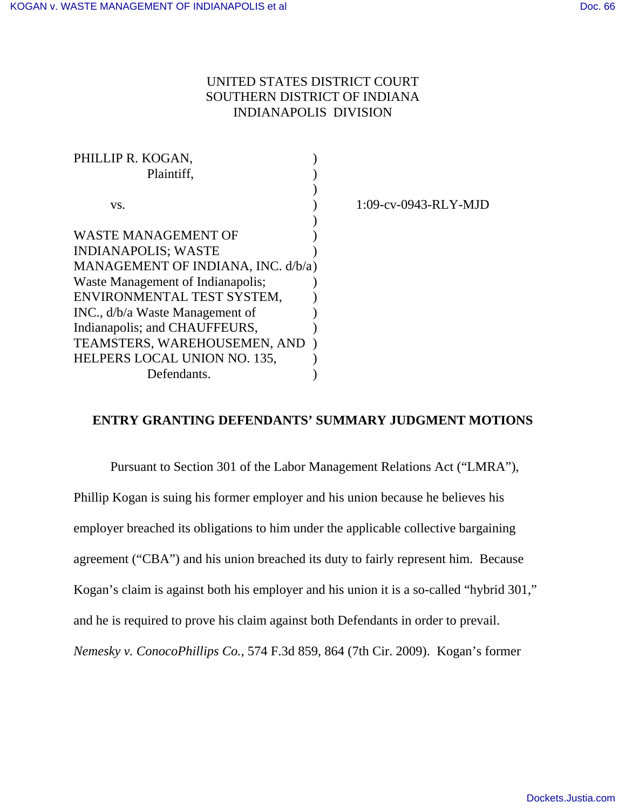# UNITED STATES DISTRICT COURT SOUTHERN DISTRICT OF INDIANA INDIANAPOLIS DIVISION

| PHILLIP R. KOGAN,                  |                         |
|------------------------------------|-------------------------|
| Plaintiff,                         |                         |
|                                    |                         |
| VS.                                | $1:09$ -cv-0943-RLY-MJD |
|                                    |                         |
| WASTE MANAGEMENT OF                |                         |
| <b>INDIANAPOLIS; WASTE</b>         |                         |
| MANAGEMENT OF INDIANA, INC. d/b/a) |                         |
| Waste Management of Indianapolis;  |                         |
| ENVIRONMENTAL TEST SYSTEM,         |                         |
| INC., d/b/a Waste Management of    |                         |
| Indianapolis; and CHAUFFEURS,      |                         |
| TEAMSTERS, WAREHOUSEMEN, AND       |                         |
| HELPERS LOCAL UNION NO. 135,       |                         |
| Defendants.                        |                         |
|                                    |                         |

### **ENTRY GRANTING DEFENDANTS' SUMMARY JUDGMENT MOTIONS**

Pursuant to Section 301 of the Labor Management Relations Act ("LMRA"), Phillip Kogan is suing his former employer and his union because he believes his employer breached its obligations to him under the applicable collective bargaining agreement ("CBA") and his union breached its duty to fairly represent him. Because Kogan's claim is against both his employer and his union it is a so-called "hybrid 301," and he is required to prove his claim against both Defendants in order to prevail. *Nemesky v. ConocoPhillips Co.*, 574 F.3d 859, 864 (7th Cir. 2009). Kogan's former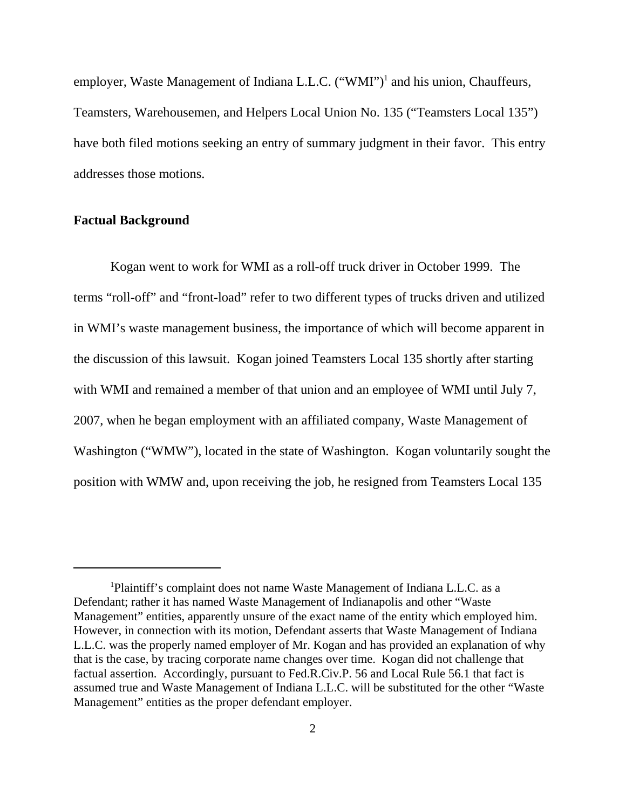employer, Waste Management of Indiana L.L.C. ("WMI")<sup>1</sup> and his union, Chauffeurs, Teamsters, Warehousemen, and Helpers Local Union No. 135 ("Teamsters Local 135") have both filed motions seeking an entry of summary judgment in their favor. This entry addresses those motions.

#### **Factual Background**

Kogan went to work for WMI as a roll-off truck driver in October 1999. The terms "roll-off" and "front-load" refer to two different types of trucks driven and utilized in WMI's waste management business, the importance of which will become apparent in the discussion of this lawsuit. Kogan joined Teamsters Local 135 shortly after starting with WMI and remained a member of that union and an employee of WMI until July 7, 2007, when he began employment with an affiliated company, Waste Management of Washington ("WMW"), located in the state of Washington. Kogan voluntarily sought the position with WMW and, upon receiving the job, he resigned from Teamsters Local 135

<sup>1</sup>Plaintiff's complaint does not name Waste Management of Indiana L.L.C. as a Defendant; rather it has named Waste Management of Indianapolis and other "Waste Management" entities, apparently unsure of the exact name of the entity which employed him. However, in connection with its motion, Defendant asserts that Waste Management of Indiana L.L.C. was the properly named employer of Mr. Kogan and has provided an explanation of why that is the case, by tracing corporate name changes over time. Kogan did not challenge that factual assertion. Accordingly, pursuant to Fed.R.Civ.P. 56 and Local Rule 56.1 that fact is assumed true and Waste Management of Indiana L.L.C. will be substituted for the other "Waste Management" entities as the proper defendant employer.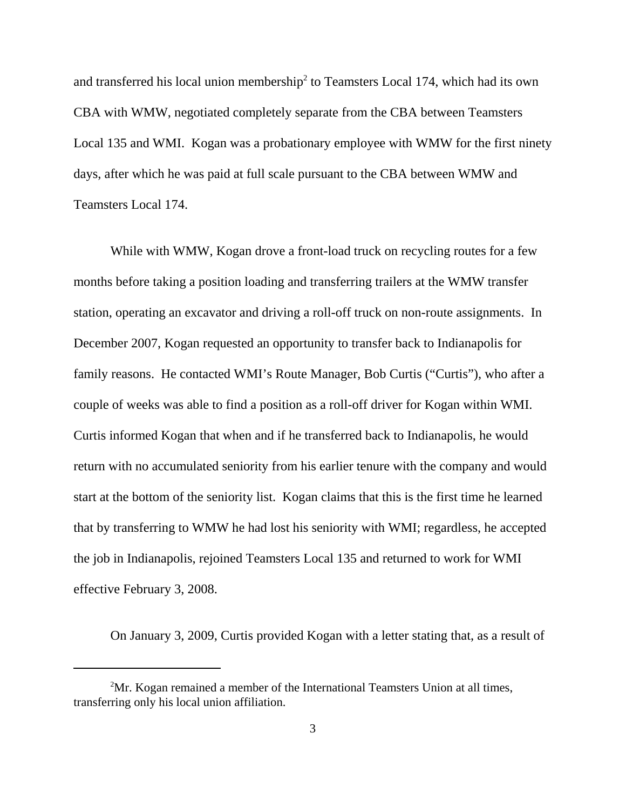and transferred his local union membership<sup>2</sup> to Teamsters Local 174, which had its own CBA with WMW, negotiated completely separate from the CBA between Teamsters Local 135 and WMI. Kogan was a probationary employee with WMW for the first ninety days, after which he was paid at full scale pursuant to the CBA between WMW and Teamsters Local 174.

While with WMW, Kogan drove a front-load truck on recycling routes for a few months before taking a position loading and transferring trailers at the WMW transfer station, operating an excavator and driving a roll-off truck on non-route assignments. In December 2007, Kogan requested an opportunity to transfer back to Indianapolis for family reasons. He contacted WMI's Route Manager, Bob Curtis ("Curtis"), who after a couple of weeks was able to find a position as a roll-off driver for Kogan within WMI. Curtis informed Kogan that when and if he transferred back to Indianapolis, he would return with no accumulated seniority from his earlier tenure with the company and would start at the bottom of the seniority list. Kogan claims that this is the first time he learned that by transferring to WMW he had lost his seniority with WMI; regardless, he accepted the job in Indianapolis, rejoined Teamsters Local 135 and returned to work for WMI effective February 3, 2008.

On January 3, 2009, Curtis provided Kogan with a letter stating that, as a result of

 $2<sup>2</sup>$ Mr. Kogan remained a member of the International Teamsters Union at all times, transferring only his local union affiliation.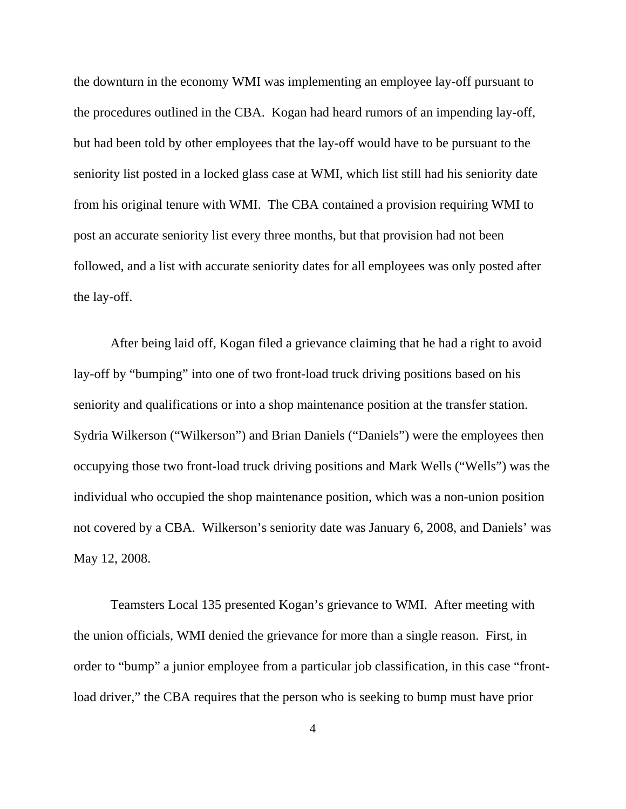the downturn in the economy WMI was implementing an employee lay-off pursuant to the procedures outlined in the CBA. Kogan had heard rumors of an impending lay-off, but had been told by other employees that the lay-off would have to be pursuant to the seniority list posted in a locked glass case at WMI, which list still had his seniority date from his original tenure with WMI. The CBA contained a provision requiring WMI to post an accurate seniority list every three months, but that provision had not been followed, and a list with accurate seniority dates for all employees was only posted after the lay-off.

After being laid off, Kogan filed a grievance claiming that he had a right to avoid lay-off by "bumping" into one of two front-load truck driving positions based on his seniority and qualifications or into a shop maintenance position at the transfer station. Sydria Wilkerson ("Wilkerson") and Brian Daniels ("Daniels") were the employees then occupying those two front-load truck driving positions and Mark Wells ("Wells") was the individual who occupied the shop maintenance position, which was a non-union position not covered by a CBA. Wilkerson's seniority date was January 6, 2008, and Daniels' was May 12, 2008.

Teamsters Local 135 presented Kogan's grievance to WMI. After meeting with the union officials, WMI denied the grievance for more than a single reason. First, in order to "bump" a junior employee from a particular job classification, in this case "frontload driver," the CBA requires that the person who is seeking to bump must have prior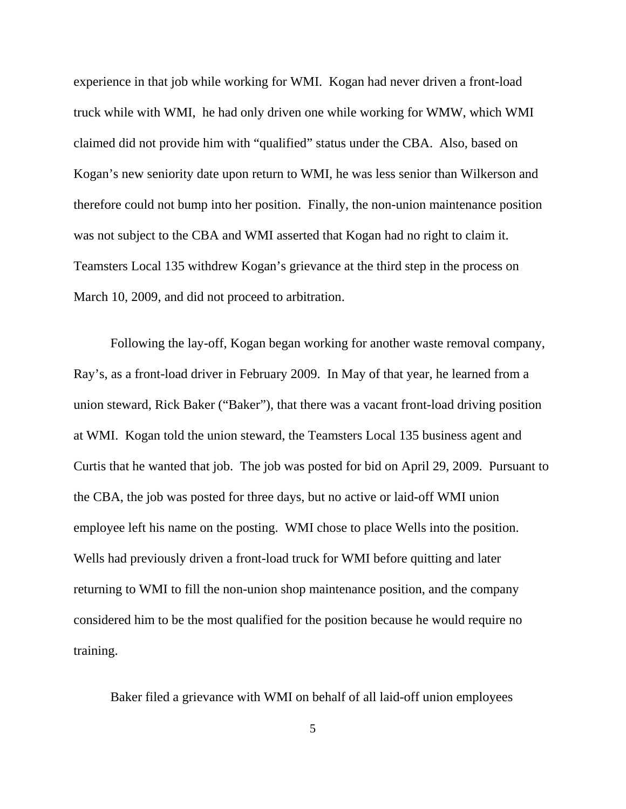experience in that job while working for WMI. Kogan had never driven a front-load truck while with WMI, he had only driven one while working for WMW, which WMI claimed did not provide him with "qualified" status under the CBA. Also, based on Kogan's new seniority date upon return to WMI, he was less senior than Wilkerson and therefore could not bump into her position. Finally, the non-union maintenance position was not subject to the CBA and WMI asserted that Kogan had no right to claim it. Teamsters Local 135 withdrew Kogan's grievance at the third step in the process on March 10, 2009, and did not proceed to arbitration.

Following the lay-off, Kogan began working for another waste removal company, Ray's, as a front-load driver in February 2009. In May of that year, he learned from a union steward, Rick Baker ("Baker"), that there was a vacant front-load driving position at WMI. Kogan told the union steward, the Teamsters Local 135 business agent and Curtis that he wanted that job. The job was posted for bid on April 29, 2009. Pursuant to the CBA, the job was posted for three days, but no active or laid-off WMI union employee left his name on the posting. WMI chose to place Wells into the position. Wells had previously driven a front-load truck for WMI before quitting and later returning to WMI to fill the non-union shop maintenance position, and the company considered him to be the most qualified for the position because he would require no training.

Baker filed a grievance with WMI on behalf of all laid-off union employees

5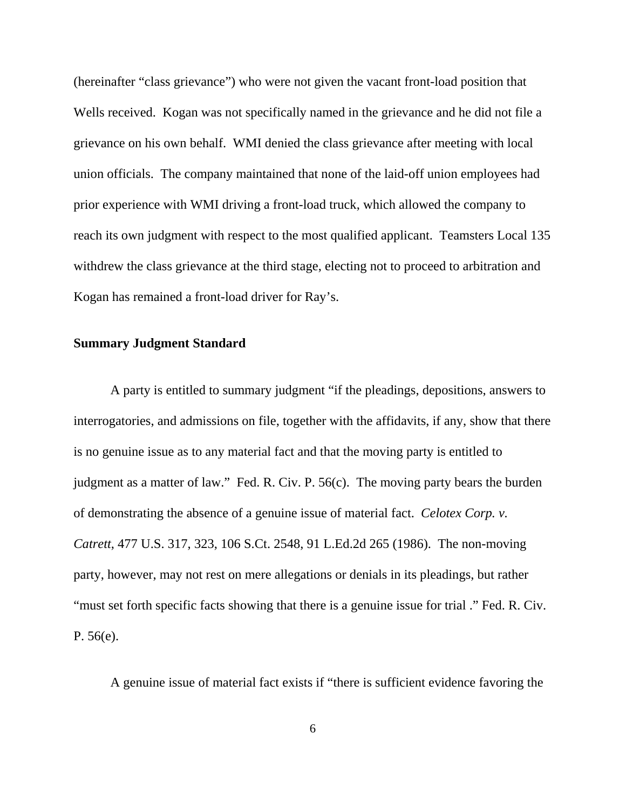(hereinafter "class grievance") who were not given the vacant front-load position that Wells received. Kogan was not specifically named in the grievance and he did not file a grievance on his own behalf. WMI denied the class grievance after meeting with local union officials. The company maintained that none of the laid-off union employees had prior experience with WMI driving a front-load truck, which allowed the company to reach its own judgment with respect to the most qualified applicant. Teamsters Local 135 withdrew the class grievance at the third stage, electing not to proceed to arbitration and Kogan has remained a front-load driver for Ray's.

### **Summary Judgment Standard**

A party is entitled to summary judgment "if the pleadings, depositions, answers to interrogatories, and admissions on file, together with the affidavits, if any, show that there is no genuine issue as to any material fact and that the moving party is entitled to judgment as a matter of law." Fed. R. Civ. P. 56(c). The moving party bears the burden of demonstrating the absence of a genuine issue of material fact. *Celotex Corp. v. Catrett*, 477 U.S. 317, 323, 106 S.Ct. 2548, 91 L.Ed.2d 265 (1986). The non-moving party, however, may not rest on mere allegations or denials in its pleadings, but rather "must set forth specific facts showing that there is a genuine issue for trial ." Fed. R. Civ. P. 56(e).

A genuine issue of material fact exists if "there is sufficient evidence favoring the

6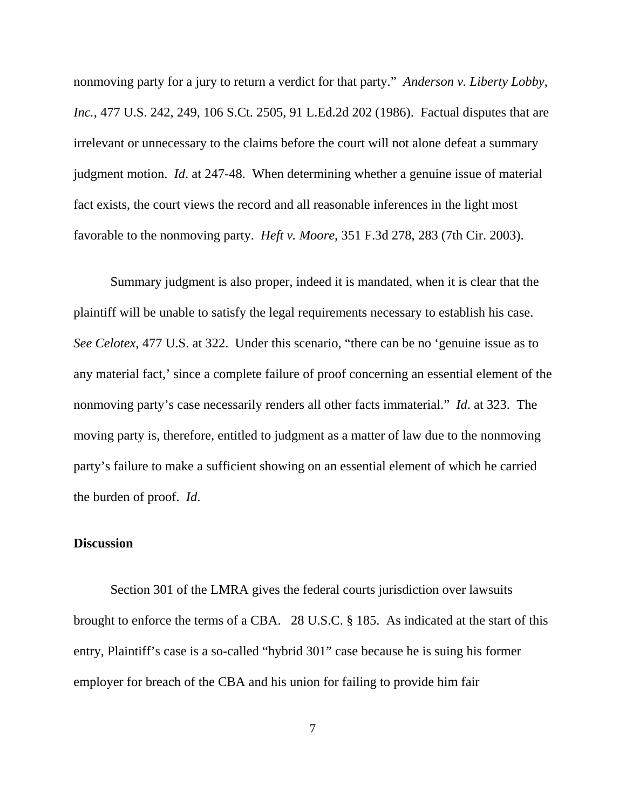nonmoving party for a jury to return a verdict for that party." *Anderson v. Liberty Lobby*, *Inc.*, 477 U.S. 242, 249, 106 S.Ct. 2505, 91 L.Ed.2d 202 (1986). Factual disputes that are irrelevant or unnecessary to the claims before the court will not alone defeat a summary judgment motion. *Id*. at 247-48. When determining whether a genuine issue of material fact exists, the court views the record and all reasonable inferences in the light most favorable to the nonmoving party. *Heft v. Moore*, 351 F.3d 278, 283 (7th Cir. 2003).

Summary judgment is also proper, indeed it is mandated, when it is clear that the plaintiff will be unable to satisfy the legal requirements necessary to establish his case. *See Celotex*, 477 U.S. at 322. Under this scenario, "there can be no 'genuine issue as to any material fact,' since a complete failure of proof concerning an essential element of the nonmoving party's case necessarily renders all other facts immaterial." *Id*. at 323. The moving party is, therefore, entitled to judgment as a matter of law due to the nonmoving party's failure to make a sufficient showing on an essential element of which he carried the burden of proof. *Id*.

## **Discussion**

Section 301 of the LMRA gives the federal courts jurisdiction over lawsuits brought to enforce the terms of a CBA. 28 U.S.C. § 185. As indicated at the start of this entry, Plaintiff's case is a so-called "hybrid 301" case because he is suing his former employer for breach of the CBA and his union for failing to provide him fair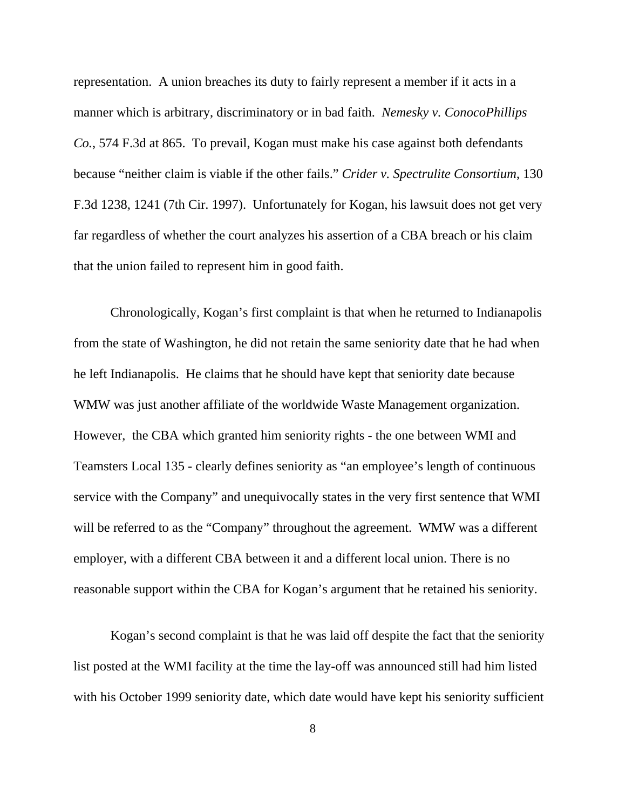representation. A union breaches its duty to fairly represent a member if it acts in a manner which is arbitrary, discriminatory or in bad faith. *Nemesky v. ConocoPhillips Co.*, 574 F.3d at 865. To prevail, Kogan must make his case against both defendants because "neither claim is viable if the other fails." *Crider v. Spectrulite Consortium*, 130 F.3d 1238, 1241 (7th Cir. 1997). Unfortunately for Kogan, his lawsuit does not get very far regardless of whether the court analyzes his assertion of a CBA breach or his claim that the union failed to represent him in good faith.

Chronologically, Kogan's first complaint is that when he returned to Indianapolis from the state of Washington, he did not retain the same seniority date that he had when he left Indianapolis. He claims that he should have kept that seniority date because WMW was just another affiliate of the worldwide Waste Management organization. However, the CBA which granted him seniority rights - the one between WMI and Teamsters Local 135 - clearly defines seniority as "an employee's length of continuous service with the Company" and unequivocally states in the very first sentence that WMI will be referred to as the "Company" throughout the agreement. WMW was a different employer, with a different CBA between it and a different local union. There is no reasonable support within the CBA for Kogan's argument that he retained his seniority.

Kogan's second complaint is that he was laid off despite the fact that the seniority list posted at the WMI facility at the time the lay-off was announced still had him listed with his October 1999 seniority date, which date would have kept his seniority sufficient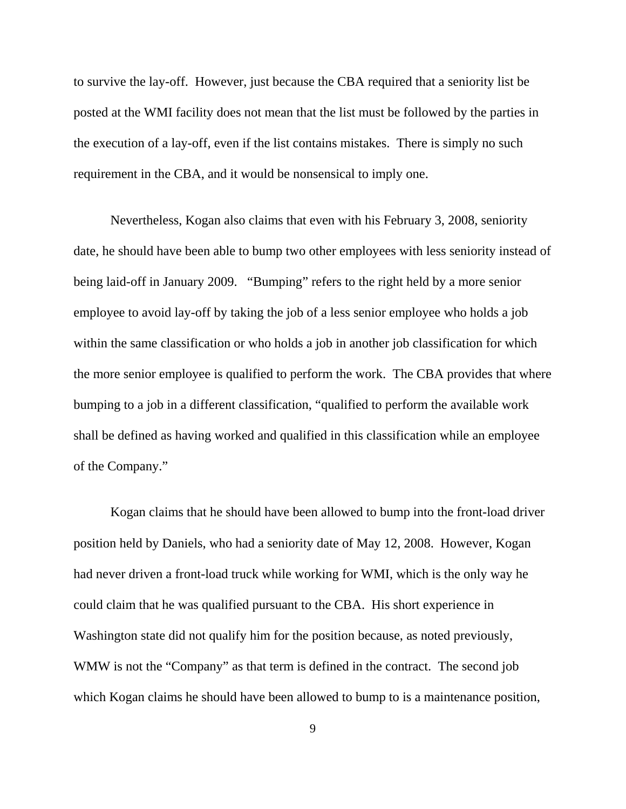to survive the lay-off. However, just because the CBA required that a seniority list be posted at the WMI facility does not mean that the list must be followed by the parties in the execution of a lay-off, even if the list contains mistakes. There is simply no such requirement in the CBA, and it would be nonsensical to imply one.

Nevertheless, Kogan also claims that even with his February 3, 2008, seniority date, he should have been able to bump two other employees with less seniority instead of being laid-off in January 2009. "Bumping" refers to the right held by a more senior employee to avoid lay-off by taking the job of a less senior employee who holds a job within the same classification or who holds a job in another job classification for which the more senior employee is qualified to perform the work. The CBA provides that where bumping to a job in a different classification, "qualified to perform the available work shall be defined as having worked and qualified in this classification while an employee of the Company."

Kogan claims that he should have been allowed to bump into the front-load driver position held by Daniels, who had a seniority date of May 12, 2008. However, Kogan had never driven a front-load truck while working for WMI, which is the only way he could claim that he was qualified pursuant to the CBA. His short experience in Washington state did not qualify him for the position because, as noted previously, WMW is not the "Company" as that term is defined in the contract. The second job which Kogan claims he should have been allowed to bump to is a maintenance position,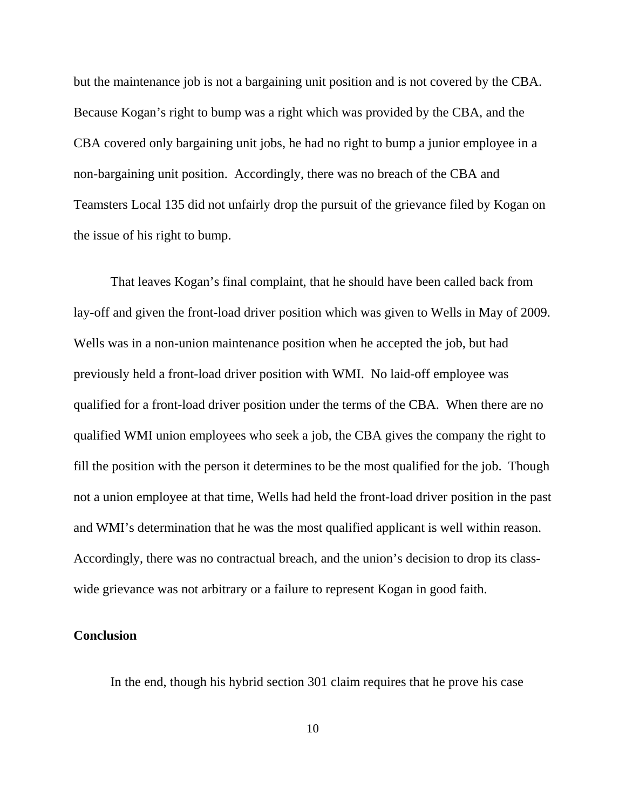but the maintenance job is not a bargaining unit position and is not covered by the CBA. Because Kogan's right to bump was a right which was provided by the CBA, and the CBA covered only bargaining unit jobs, he had no right to bump a junior employee in a non-bargaining unit position. Accordingly, there was no breach of the CBA and Teamsters Local 135 did not unfairly drop the pursuit of the grievance filed by Kogan on the issue of his right to bump.

That leaves Kogan's final complaint, that he should have been called back from lay-off and given the front-load driver position which was given to Wells in May of 2009. Wells was in a non-union maintenance position when he accepted the job, but had previously held a front-load driver position with WMI. No laid-off employee was qualified for a front-load driver position under the terms of the CBA. When there are no qualified WMI union employees who seek a job, the CBA gives the company the right to fill the position with the person it determines to be the most qualified for the job. Though not a union employee at that time, Wells had held the front-load driver position in the past and WMI's determination that he was the most qualified applicant is well within reason. Accordingly, there was no contractual breach, and the union's decision to drop its classwide grievance was not arbitrary or a failure to represent Kogan in good faith.

## **Conclusion**

In the end, though his hybrid section 301 claim requires that he prove his case